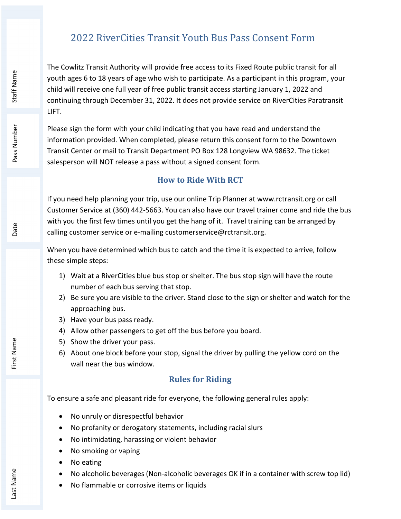# 2022 RiverCities Transit Youth Bus Pass Consent Form

The Cowlitz Transit Authority will provide free access to its Fixed Route public transit for all youth ages 6 to 18 years of age who wish to participate. As a participant in this program, your child will receive one full year of free public transit access starting January 1, 2022 and continuing through December 31, 2022. It does not provide service on RiverCities Paratransit LIFT. Nouth ages 6 to 18 years of age who wish to particial child will receive one full year of free public transit<br>
child will receive one full year of free public transit<br>
LIFT.<br>
Best Sign the form with your child indicating

Please sign the form with your child indicating that you have read and understand the information provided. When completed, please return this consent form to the Downtown Transit Center or mail to Transit Department PO Box 128 Longview WA 98632. The ticket salesperson will NOT release a pass without a signed consent form.

### How to Ride With RCT

If you need help planning your trip, use our online Trip Planner at www.rctransit.org or call Customer Service at (360) 442-5663. You can also have our travel trainer come and ride the bus with you the first few times until you get the hang of it. Travel training can be arranged by calling customer service or e-mailing customerservice@rctransit.org.

When you have determined which bus to catch and the time it is expected to arrive, follow these simple steps:

- 1) Wait at a RiverCities blue bus stop or shelter. The bus stop sign will have the route number of each bus serving that stop.
- 2) Be sure you are visible to the driver. Stand close to the sign or shelter and watch for the approaching bus.
- 3) Have your bus pass ready.
- 4) Allow other passengers to get off the bus before you board.
- 5) Show the driver your pass.
- 6) About one block before your stop, signal the driver by pulling the yellow cord on the wall near the bus window.

### Rules for Riding

To ensure a safe and pleasant ride for everyone, the following general rules apply:

- No unruly or disrespectful behavior
- No profanity or derogatory statements, including racial slurs
- No intimidating, harassing or violent behavior
- No smoking or vaping
- No eating
- No alcoholic beverages (Non-alcoholic beverages OK if in a container with screw top lid)
-